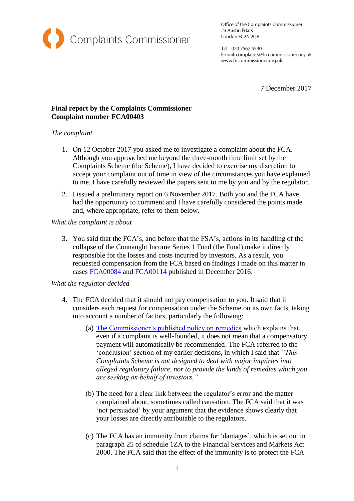

Office of the Complaints Commissioner 23 Austin Friars London EC2N 2QP

Tel: 020 7562 5530 E-mail: complaints@frccommissioner.org.uk www.frccommissioner.org.uk

7 December 2017

# **Final report by the Complaints Commissioner Complaint number FCA00403**

# *The complaint*

- 1. On 12 October 2017 you asked me to investigate a complaint about the FCA. Although you approached me beyond the three-month time limit set by the Complaints Scheme (the Scheme), I have decided to exercise my discretion to accept your complaint out of time in view of the circumstances you have explained to me. I have carefully reviewed the papers sent to me by you and by the regulator.
- 2. I issued a preliminary report on 6 November 2017. Both you and the FCA have had the opportunity to comment and I have carefully considered the points made and, where appropriate, refer to them below.

*What the complaint is about*

3. You said that the FCA's, and before that the FSA's, actions in its handling of the collapse of the Connaught Income Series 1 Fund (the Fund) make it directly responsible for the losses and costs incurred by investors. As a result, you requested compensation from the FCA based on findings I made on this matter in cases [FCA00084](http://frccommissioner.org.uk/wp-content/uploads/FCA00084-Nettleship-Adam-Stage-2-Final-Decision-24-11-16.pdf) and [FCA00114](http://frccommissioner.org.uk/wp-content/uploads/FCA00114-Patellis-George-Stage-2-Final-Decision-24-11-16.pdf) published in December 2016.

## *What the regulator decided*

- 4. The FCA decided that it should not pay compensation to you. It said that it considers each request for compensation under the Scheme on its own facts, taking into account a number of factors, particularly the following:
	- (a) [The Commissioner's published policy on remedies](http://frccommissioner.org.uk/wp-content/uploads/Compensation-Policy-May-2015.pdf) which explains that, even if a complaint is well-founded, it does not mean that a compensatory payment will automatically be recommended. The FCA referred to the 'conclusion' section of my earlier decisions, in which I said that *"This Complaints Scheme is not designed to deal with major inquiries into alleged regulatory failure, nor to provide the kinds of remedies which you are seeking on behalf of investors."*
	- (b) The need for a clear link between the regulator's error and the matter complained about, sometimes called causation. The FCA said that it was 'not persuaded' by your argument that the evidence shows clearly that your losses are directly attributable to the regulators.
	- (c) The FCA has an immunity from claims for 'damages', which is set out in paragraph 25 of schedule 1ZA to the Financial Services and Markets Act 2000. The FCA said that the effect of the immunity is to protect the FCA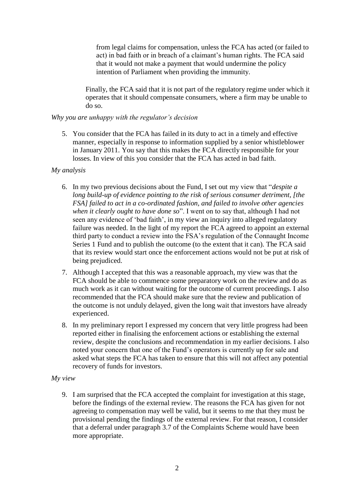from legal claims for compensation, unless the FCA has acted (or failed to act) in bad faith or in breach of a claimant's human rights. The FCA said that it would not make a payment that would undermine the policy intention of Parliament when providing the immunity.

Finally, the FCA said that it is not part of the regulatory regime under which it operates that it should compensate consumers, where a firm may be unable to do so.

#### *Why you are unhappy with the regulator's decision*

5. You consider that the FCA has failed in its duty to act in a timely and effective manner, especially in response to information supplied by a senior whistleblower in January 2011. You say that this makes the FCA directly responsible for your losses. In view of this you consider that the FCA has acted in bad faith.

### *My analysis*

- 6. In my two previous decisions about the Fund, I set out my view that "*despite a long build-up of evidence pointing to the risk of serious consumer detriment, [the FSA] failed to act in a co-ordinated fashion, and failed to involve other agencies when it clearly ought to have done so*". I went on to say that, although I had not seen any evidence of 'bad faith', in my view an inquiry into alleged regulatory failure was needed. In the light of my report the FCA agreed to appoint an external third party to conduct a review into the FSA's regulation of the Connaught Income Series 1 Fund and to publish the outcome (to the extent that it can). The FCA said that its review would start once the enforcement actions would not be put at risk of being prejudiced.
- 7. Although I accepted that this was a reasonable approach, my view was that the FCA should be able to commence some preparatory work on the review and do as much work as it can without waiting for the outcome of current proceedings. I also recommended that the FCA should make sure that the review and publication of the outcome is not unduly delayed, given the long wait that investors have already experienced.
- 8. In my preliminary report I expressed my concern that very little progress had been reported either in finalising the enforcement actions or establishing the external review, despite the conclusions and recommendation in my earlier decisions. I also noted your concern that one of the Fund's operators is currently up for sale and asked what steps the FCA has taken to ensure that this will not affect any potential recovery of funds for investors.

#### *My view*

9. I am surprised that the FCA accepted the complaint for investigation at this stage, before the findings of the external review. The reasons the FCA has given for not agreeing to compensation may well be valid, but it seems to me that they must be provisional pending the findings of the external review. For that reason, I consider that a deferral under paragraph 3.7 of the Complaints Scheme would have been more appropriate.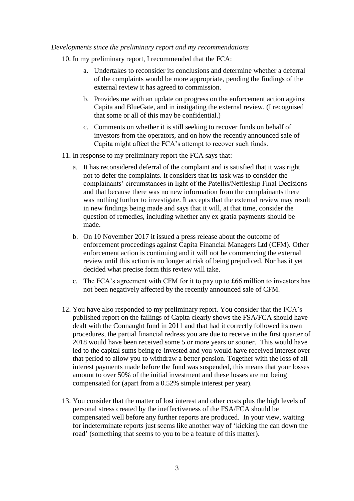#### *Developments since the preliminary report and my recommendations*

- 10. In my preliminary report, I recommended that the FCA:
	- a. Undertakes to reconsider its conclusions and determine whether a deferral of the complaints would be more appropriate, pending the findings of the external review it has agreed to commission.
	- b. Provides me with an update on progress on the enforcement action against Capita and BlueGate, and in instigating the external review. (I recognised that some or all of this may be confidential.)
	- c. Comments on whether it is still seeking to recover funds on behalf of investors from the operators, and on how the recently announced sale of Capita might affect the FCA's attempt to recover such funds.
- 11. In response to my preliminary report the FCA says that:
	- a. It has reconsidered deferral of the complaint and is satisfied that it was right not to defer the complaints. It considers that its task was to consider the complainants' circumstances in light of the Patellis/Nettleship Final Decisions and that because there was no new information from the complainants there was nothing further to investigate. It accepts that the external review may result in new findings being made and says that it will, at that time, consider the question of remedies, including whether any ex gratia payments should be made.
	- b. On 10 November 2017 it issued a press release about the outcome of enforcement proceedings against Capita Financial Managers Ltd (CFM). Other enforcement action is continuing and it will not be commencing the external review until this action is no longer at risk of being prejudiced. Nor has it yet decided what precise form this review will take.
	- c. The FCA's agreement with CFM for it to pay up to £66 million to investors has not been negatively affected by the recently announced sale of CFM.
- 12. You have also responded to my preliminary report. You consider that the FCA's published report on the failings of Capita clearly shows the FSA/FCA should have dealt with the Connaught fund in 2011 and that had it correctly followed its own procedures, the partial financial redress you are due to receive in the first quarter of 2018 would have been received some 5 or more years or sooner. This would have led to the capital sums being re-invested and you would have received interest over that period to allow you to withdraw a better pension. Together with the loss of all interest payments made before the fund was suspended, this means that your losses amount to over 50% of the initial investment and these losses are not being compensated for (apart from a 0.52% simple interest per year).
- 13. You consider that the matter of lost interest and other costs plus the high levels of personal stress created by the ineffectiveness of the FSA/FCA should be compensated well before any further reports are produced. In your view, waiting for indeterminate reports just seems like another way of 'kicking the can down the road' (something that seems to you to be a feature of this matter).